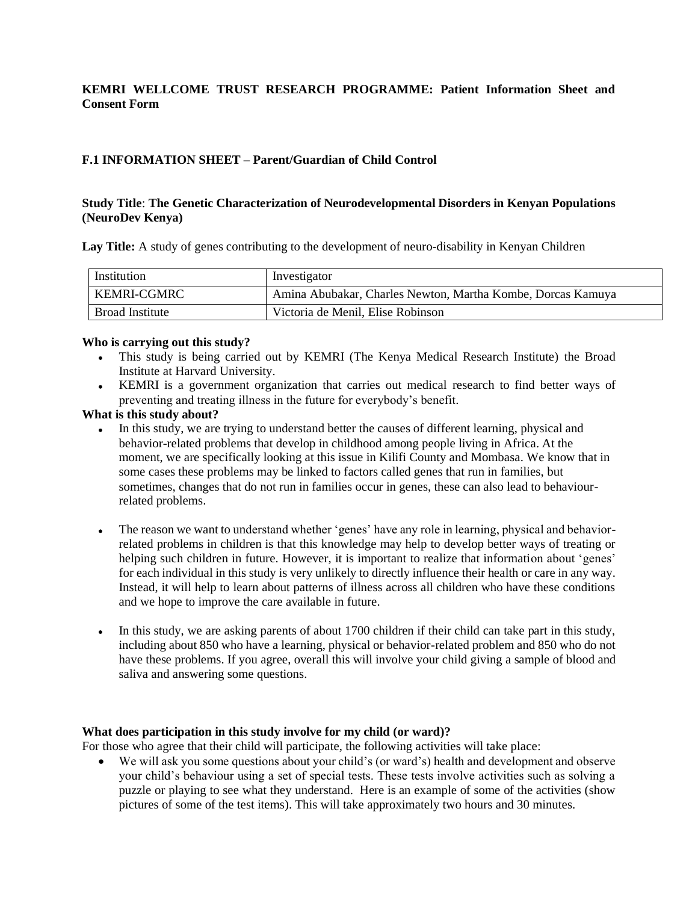## **KEMRI WELLCOME TRUST RESEARCH PROGRAMME: Patient Information Sheet and Consent Form**

# **F.1 INFORMATION SHEET – Parent/Guardian of Child Control**

## **Study Title**: **The Genetic Characterization of Neurodevelopmental Disorders in Kenyan Populations (NeuroDev Kenya)**

**Lay Title:** A study of genes contributing to the development of neuro-disability in Kenyan Children

| Institution        | Investigator                                                |
|--------------------|-------------------------------------------------------------|
| <b>KEMRI-CGMRC</b> | Amina Abubakar, Charles Newton, Martha Kombe, Dorcas Kamuya |
| Broad Institute    | Victoria de Menil, Elise Robinson                           |

#### **Who is carrying out this study?**

- This study is being carried out by KEMRI (The Kenya Medical Research Institute) the Broad Institute at Harvard University.
- KEMRI is a government organization that carries out medical research to find better ways of preventing and treating illness in the future for everybody's benefit.

## **What is this study about?**

- In this study, we are trying to understand better the causes of different learning, physical and behavior-related problems that develop in childhood among people living in Africa. At the moment, we are specifically looking at this issue in Kilifi County and Mombasa. We know that in some cases these problems may be linked to factors called genes that run in families, but sometimes, changes that do not run in families occur in genes, these can also lead to behaviourrelated problems.
- The reason we want to understand whether 'genes' have any role in learning, physical and behaviorrelated problems in children is that this knowledge may help to develop better ways of treating or helping such children in future. However, it is important to realize that information about 'genes' for each individual in this study is very unlikely to directly influence their health or care in any way. Instead, it will help to learn about patterns of illness across all children who have these conditions and we hope to improve the care available in future.
- In this study, we are asking parents of about 1700 children if their child can take part in this study, including about 850 who have a learning, physical or behavior-related problem and 850 who do not have these problems. If you agree, overall this will involve your child giving a sample of blood and saliva and answering some questions.

#### **What does participation in this study involve for my child (or ward)?**

For those who agree that their child will participate, the following activities will take place:

• We will ask you some questions about your child's (or ward's) health and development and observe your child's behaviour using a set of special tests. These tests involve activities such as solving a puzzle or playing to see what they understand. Here is an example of some of the activities (show pictures of some of the test items). This will take approximately two hours and 30 minutes.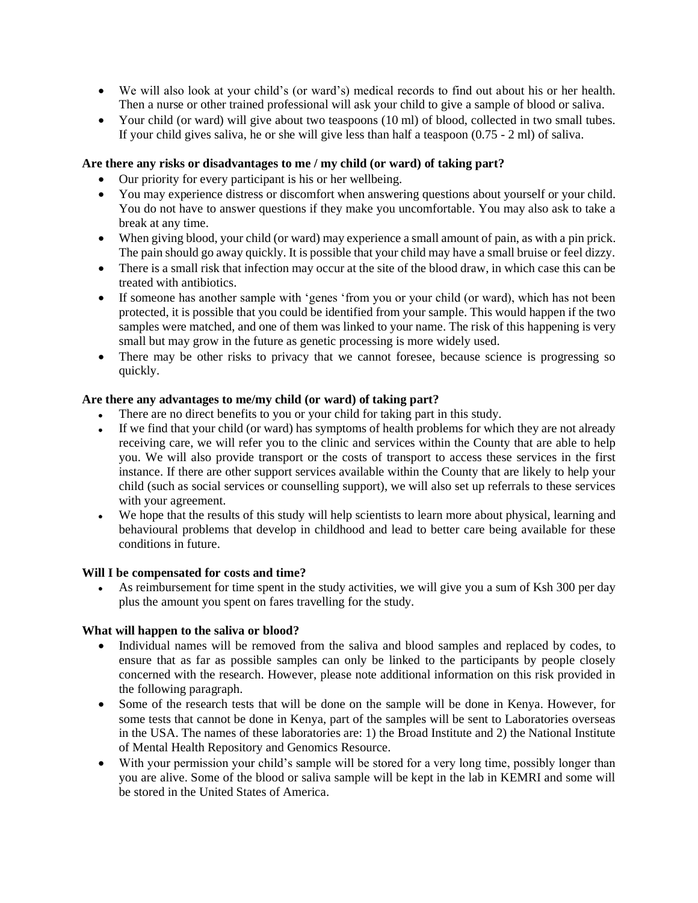- We will also look at your child's (or ward's) medical records to find out about his or her health. Then a nurse or other trained professional will ask your child to give a sample of blood or saliva.
- Your child (or ward) will give about two teaspoons (10 ml) of blood, collected in two small tubes. If your child gives saliva, he or she will give less than half a teaspoon (0.75 - 2 ml) of saliva.

## **Are there any risks or disadvantages to me / my child (or ward) of taking part?**

- Our priority for every participant is his or her wellbeing.
- You may experience distress or discomfort when answering questions about yourself or your child. You do not have to answer questions if they make you uncomfortable. You may also ask to take a break at any time.
- When giving blood, your child (or ward) may experience a small amount of pain, as with a pin prick. The pain should go away quickly. It is possible that your child may have a small bruise or feel dizzy.
- There is a small risk that infection may occur at the site of the blood draw, in which case this can be treated with antibiotics.
- If someone has another sample with 'genes 'from you or your child (or ward), which has not been protected, it is possible that you could be identified from your sample. This would happen if the two samples were matched, and one of them was linked to your name. The risk of this happening is very small but may grow in the future as genetic processing is more widely used.
- There may be other risks to privacy that we cannot foresee, because science is progressing so quickly.

## **Are there any advantages to me/my child (or ward) of taking part?**

- There are no direct benefits to you or your child for taking part in this study.
- If we find that your child (or ward) has symptoms of health problems for which they are not already receiving care, we will refer you to the clinic and services within the County that are able to help you. We will also provide transport or the costs of transport to access these services in the first instance. If there are other support services available within the County that are likely to help your child (such as social services or counselling support), we will also set up referrals to these services with your agreement.
- We hope that the results of this study will help scientists to learn more about physical, learning and behavioural problems that develop in childhood and lead to better care being available for these conditions in future.

## **Will I be compensated for costs and time?**

• As reimbursement for time spent in the study activities, we will give you a sum of Ksh 300 per day plus the amount you spent on fares travelling for the study.

## **What will happen to the saliva or blood?**

- Individual names will be removed from the saliva and blood samples and replaced by codes, to ensure that as far as possible samples can only be linked to the participants by people closely concerned with the research. However, please note additional information on this risk provided in the following paragraph.
- Some of the research tests that will be done on the sample will be done in Kenya. However, for some tests that cannot be done in Kenya, part of the samples will be sent to Laboratories overseas in the USA. The names of these laboratories are: 1) the Broad Institute and 2) the National Institute of Mental Health Repository and Genomics Resource.
- With your permission your child's sample will be stored for a very long time, possibly longer than you are alive. Some of the blood or saliva sample will be kept in the lab in KEMRI and some will be stored in the United States of America.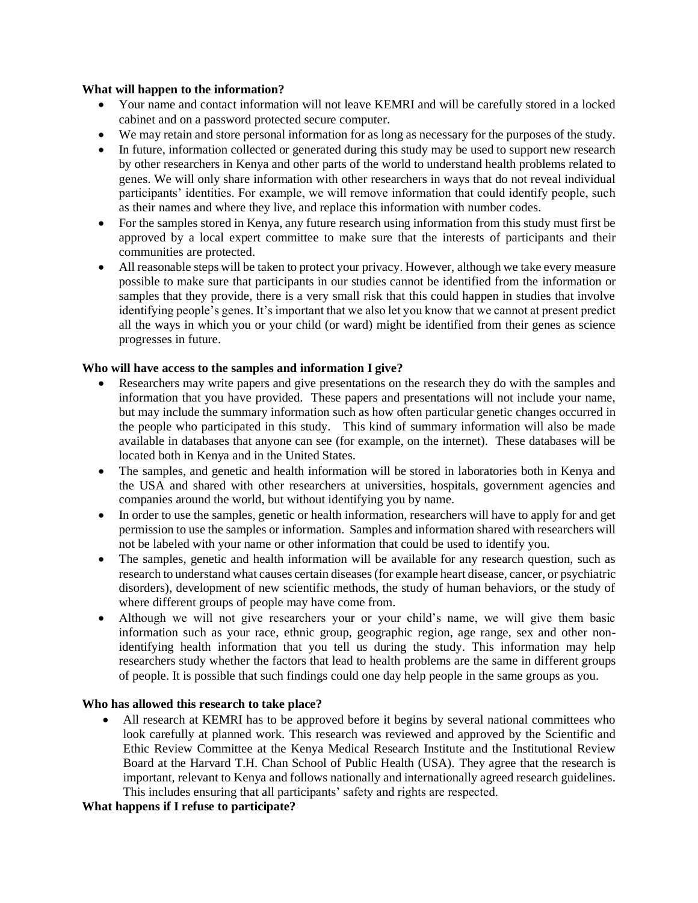#### **What will happen to the information?**

- Your name and contact information will not leave KEMRI and will be carefully stored in a locked cabinet and on a password protected secure computer.
- We may retain and store personal information for as long as necessary for the purposes of the study.
- In future, information collected or generated during this study may be used to support new research by other researchers in Kenya and other parts of the world to understand health problems related to genes. We will only share information with other researchers in ways that do not reveal individual participants' identities. For example, we will remove information that could identify people, such as their names and where they live, and replace this information with number codes.
- For the samples stored in Kenya, any future research using information from this study must first be approved by a local expert committee to make sure that the interests of participants and their communities are protected.
- All reasonable steps will be taken to protect your privacy. However, although we take every measure possible to make sure that participants in our studies cannot be identified from the information or samples that they provide, there is a very small risk that this could happen in studies that involve identifying people's genes. It's important that we also let you know that we cannot at present predict all the ways in which you or your child (or ward) might be identified from their genes as science progresses in future.

## **Who will have access to the samples and information I give?**

- Researchers may write papers and give presentations on the research they do with the samples and information that you have provided. These papers and presentations will not include your name, but may include the summary information such as how often particular genetic changes occurred in the people who participated in this study. This kind of summary information will also be made available in databases that anyone can see (for example, on the internet). These databases will be located both in Kenya and in the United States.
- The samples, and genetic and health information will be stored in laboratories both in Kenya and the USA and shared with other researchers at universities, hospitals, government agencies and companies around the world, but without identifying you by name.
- In order to use the samples, genetic or health information, researchers will have to apply for and get permission to use the samples or information. Samples and information shared with researchers will not be labeled with your name or other information that could be used to identify you.
- The samples, genetic and health information will be available for any research question, such as research to understand what causes certain diseases (for example heart disease, cancer, or psychiatric disorders), development of new scientific methods, the study of human behaviors, or the study of where different groups of people may have come from.
- Although we will not give researchers your or your child's name, we will give them basic information such as your race, ethnic group, geographic region, age range, sex and other nonidentifying health information that you tell us during the study. This information may help researchers study whether the factors that lead to health problems are the same in different groups of people. It is possible that such findings could one day help people in the same groups as you.

## **Who has allowed this research to take place?**

All research at KEMRI has to be approved before it begins by several national committees who look carefully at planned work. This research was reviewed and approved by the Scientific and Ethic Review Committee at the Kenya Medical Research Institute and the Institutional Review Board at the Harvard T.H. Chan School of Public Health (USA). They agree that the research is important, relevant to Kenya and follows nationally and internationally agreed research guidelines. This includes ensuring that all participants' safety and rights are respected.

## **What happens if I refuse to participate?**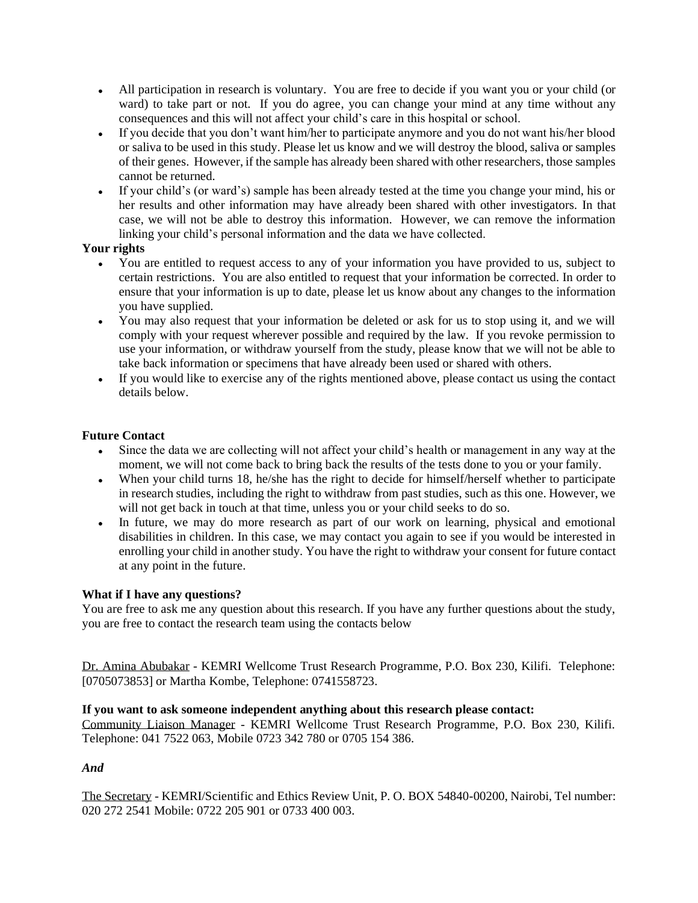- All participation in research is voluntary. You are free to decide if you want you or your child (or ward) to take part or not. If you do agree, you can change your mind at any time without any consequences and this will not affect your child's care in this hospital or school.
- If you decide that you don't want him/her to participate anymore and you do not want his/her blood or saliva to be used in this study. Please let us know and we will destroy the blood, saliva or samples of their genes. However, if the sample has already been shared with other researchers, those samples cannot be returned.
- If your child's (or ward's) sample has been already tested at the time you change your mind, his or her results and other information may have already been shared with other investigators. In that case, we will not be able to destroy this information. However, we can remove the information linking your child's personal information and the data we have collected.

# **Your rights**

- You are entitled to request access to any of your information you have provided to us, subject to certain restrictions. You are also entitled to request that your information be corrected. In order to ensure that your information is up to date, please let us know about any changes to the information you have supplied.
- You may also request that your information be deleted or ask for us to stop using it, and we will comply with your request wherever possible and required by the law. If you revoke permission to use your information, or withdraw yourself from the study, please know that we will not be able to take back information or specimens that have already been used or shared with others.
- If you would like to exercise any of the rights mentioned above, please contact us using the contact details below.

## **Future Contact**

- Since the data we are collecting will not affect your child's health or management in any way at the moment, we will not come back to bring back the results of the tests done to you or your family.
- When your child turns 18, he/she has the right to decide for himself/herself whether to participate in research studies, including the right to withdraw from past studies, such as this one. However, we will not get back in touch at that time, unless you or your child seeks to do so.
- In future, we may do more research as part of our work on learning, physical and emotional disabilities in children. In this case, we may contact you again to see if you would be interested in enrolling your child in another study. You have the right to withdraw your consent for future contact at any point in the future.

## **What if I have any questions?**

You are free to ask me any question about this research. If you have any further questions about the study, you are free to contact the research team using the contacts below

Dr. Amina Abubakar - KEMRI Wellcome Trust Research Programme, P.O. Box 230, Kilifi. Telephone: [0705073853] or Martha Kombe, Telephone: 0741558723.

## **If you want to ask someone independent anything about this research please contact:**

Community Liaison Manager - KEMRI Wellcome Trust Research Programme, P.O. Box 230, Kilifi. Telephone: 041 7522 063, Mobile 0723 342 780 or 0705 154 386.

# *And*

The Secretary - KEMRI/Scientific and Ethics Review Unit, P. O. BOX 54840-00200, Nairobi, Tel number: 020 272 2541 Mobile: 0722 205 901 or 0733 400 003.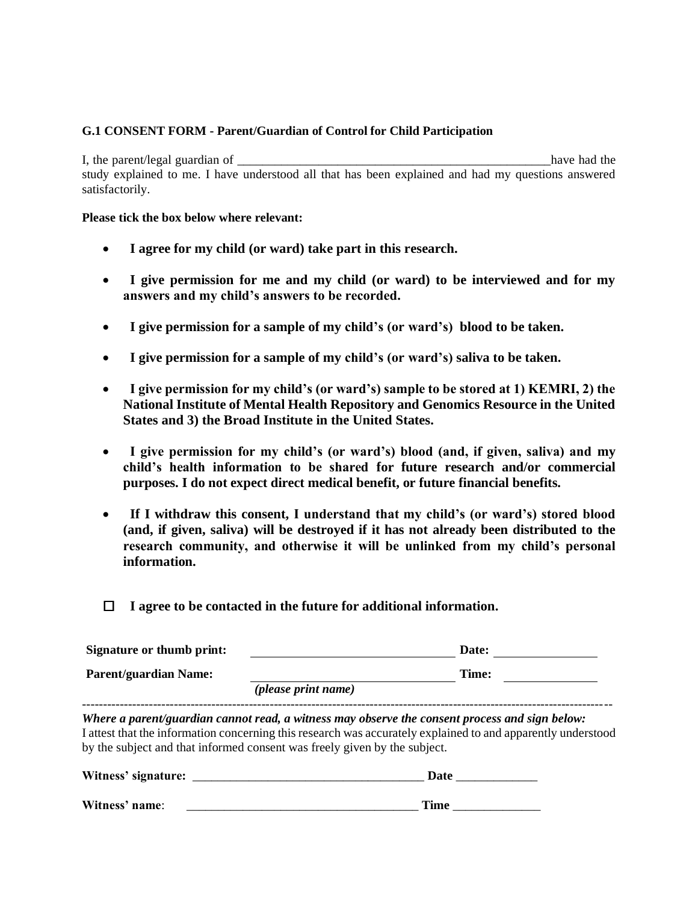## **G.1 CONSENT FORM - Parent/Guardian of Control for Child Participation**

I, the parent/legal guardian of  $\blacksquare$ study explained to me. I have understood all that has been explained and had my questions answered satisfactorily.

#### **Please tick the box below where relevant:**

- • **I agree for my child (or ward) take part in this research.**
- • **I give permission for me and my child (or ward) to be interviewed and for my answers and my child's answers to be recorded.**
- • **I give permission for a sample of my child's (or ward's) blood to be taken.**
- • **I give permission for a sample of my child's (or ward's) saliva to be taken.**
- • **I give permission for my child's (or ward's) sample to be stored at 1) KEMRI, 2) the National Institute of Mental Health Repository and Genomics Resource in the United States and 3) the Broad Institute in the United States.**
- • **I give permission for my child's (or ward's) blood (and, if given, saliva) and my child's health information to be shared for future research and/or commercial purposes. I do not expect direct medical benefit, or future financial benefits.**
- • **If I withdraw this consent, I understand that my child's (or ward's) stored blood (and, if given, saliva) will be destroyed if it has not already been distributed to the research community, and otherwise it will be unlinked from my child's personal information.**
- **I agree to be contacted in the future for additional information.**

| <b>Signature or thumb print:</b> |                            | Date: |  |
|----------------------------------|----------------------------|-------|--|
| <b>Parent/guardian Name:</b>     | <i>(please print name)</i> | Time: |  |
|                                  |                            |       |  |

*Where a parent/guardian cannot read, a witness may observe the consent process and sign below:* I attest that the information concerning this research was accurately explained to and apparently understood by the subject and that informed consent was freely given by the subject.

| Witness' signature: | Date |
|---------------------|------|
| Witness' name:      | Time |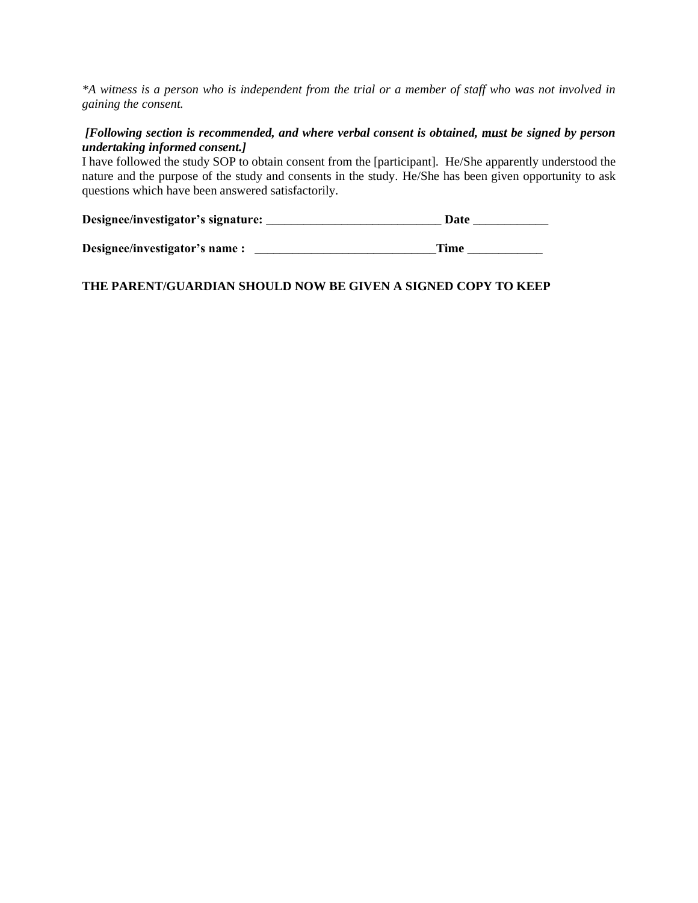*\*A witness is a person who is independent from the trial or a member of staff who was not involved in gaining the consent.*

## *[Following section is recommended, and where verbal consent is obtained, must be signed by person undertaking informed consent.]*

I have followed the study SOP to obtain consent from the [participant]. He/She apparently understood the nature and the purpose of the study and consents in the study. He/She has been given opportunity to ask questions which have been answered satisfactorily.

| Designee/investigator's signature: | Date |
|------------------------------------|------|
|                                    |      |

**Designee/investigator's name :** \_\_\_\_\_\_\_\_\_\_\_\_\_\_\_\_\_\_\_\_\_\_\_\_\_\_\_\_\_**Time** \_\_\_\_\_\_\_\_\_\_\_\_

# **THE PARENT/GUARDIAN SHOULD NOW BE GIVEN A SIGNED COPY TO KEEP**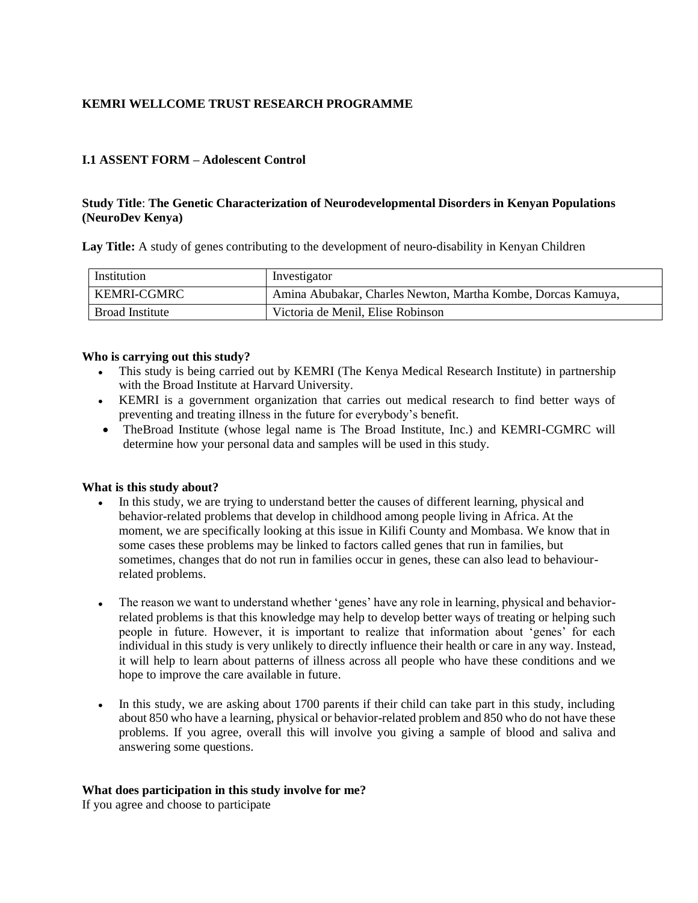# **KEMRI WELLCOME TRUST RESEARCH PROGRAMME**

## **I.1 ASSENT FORM – Adolescent Control**

## **Study Title**: **The Genetic Characterization of Neurodevelopmental Disorders in Kenyan Populations (NeuroDev Kenya)**

**Lay Title:** A study of genes contributing to the development of neuro-disability in Kenyan Children

| Institution     | Investigator                                                 |
|-----------------|--------------------------------------------------------------|
| KEMRI-CGMRC     | Amina Abubakar, Charles Newton, Martha Kombe, Dorcas Kamuya, |
| Broad Institute | Victoria de Menil, Elise Robinson                            |

#### **Who is carrying out this study?**

- This study is being carried out by KEMRI (The Kenya Medical Research Institute) in partnership with the Broad Institute at Harvard University.
- KEMRI is a government organization that carries out medical research to find better ways of preventing and treating illness in the future for everybody's benefit.
- TheBroad Institute (whose legal name is The Broad Institute, Inc.) and KEMRI-CGMRC will determine how your personal data and samples will be used in this study.

#### **What is this study about?**

- In this study, we are trying to understand better the causes of different learning, physical and behavior-related problems that develop in childhood among people living in Africa. At the moment, we are specifically looking at this issue in Kilifi County and Mombasa. We know that in some cases these problems may be linked to factors called genes that run in families, but sometimes, changes that do not run in families occur in genes, these can also lead to behaviourrelated problems.
- The reason we want to understand whether 'genes' have any role in learning, physical and behaviorrelated problems is that this knowledge may help to develop better ways of treating or helping such people in future. However, it is important to realize that information about 'genes' for each individual in this study is very unlikely to directly influence their health or care in any way. Instead, it will help to learn about patterns of illness across all people who have these conditions and we hope to improve the care available in future.
- In this study, we are asking about 1700 parents if their child can take part in this study, including about 850 who have a learning, physical or behavior-related problem and 850 who do not have these problems. If you agree, overall this will involve you giving a sample of blood and saliva and answering some questions.

## **What does participation in this study involve for me?**

If you agree and choose to participate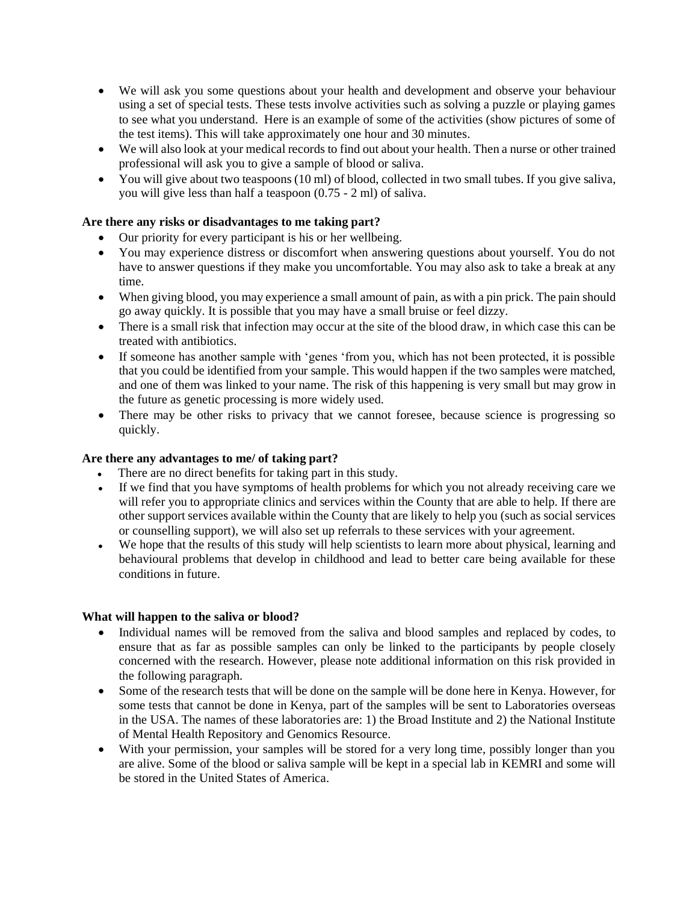- We will ask you some questions about your health and development and observe your behaviour using a set of special tests. These tests involve activities such as solving a puzzle or playing games to see what you understand. Here is an example of some of the activities (show pictures of some of the test items). This will take approximately one hour and 30 minutes.
- We will also look at your medical records to find out about your health. Then a nurse or other trained professional will ask you to give a sample of blood or saliva.
- You will give about two teaspoons (10 ml) of blood, collected in two small tubes. If you give saliva, you will give less than half a teaspoon (0.75 - 2 ml) of saliva.

## **Are there any risks or disadvantages to me taking part?**

- Our priority for every participant is his or her wellbeing.
- You may experience distress or discomfort when answering questions about yourself. You do not have to answer questions if they make you uncomfortable. You may also ask to take a break at any time.
- When giving blood, you may experience a small amount of pain, as with a pin prick. The pain should go away quickly. It is possible that you may have a small bruise or feel dizzy.
- There is a small risk that infection may occur at the site of the blood draw, in which case this can be treated with antibiotics.
- If someone has another sample with 'genes 'from you, which has not been protected, it is possible that you could be identified from your sample. This would happen if the two samples were matched, and one of them was linked to your name. The risk of this happening is very small but may grow in the future as genetic processing is more widely used.
- There may be other risks to privacy that we cannot foresee, because science is progressing so quickly.

## **Are there any advantages to me/ of taking part?**

- There are no direct benefits for taking part in this study.
- If we find that you have symptoms of health problems for which you not already receiving care we will refer you to appropriate clinics and services within the County that are able to help. If there are other support services available within the County that are likely to help you (such as social services or counselling support), we will also set up referrals to these services with your agreement.
- We hope that the results of this study will help scientists to learn more about physical, learning and behavioural problems that develop in childhood and lead to better care being available for these conditions in future.

## **What will happen to the saliva or blood?**

- Individual names will be removed from the saliva and blood samples and replaced by codes, to ensure that as far as possible samples can only be linked to the participants by people closely concerned with the research. However, please note additional information on this risk provided in the following paragraph.
- Some of the research tests that will be done on the sample will be done here in Kenya. However, for some tests that cannot be done in Kenya, part of the samples will be sent to Laboratories overseas in the USA. The names of these laboratories are: 1) the Broad Institute and 2) the National Institute of Mental Health Repository and Genomics Resource.
- With your permission, your samples will be stored for a very long time, possibly longer than you are alive. Some of the blood or saliva sample will be kept in a special lab in KEMRI and some will be stored in the United States of America.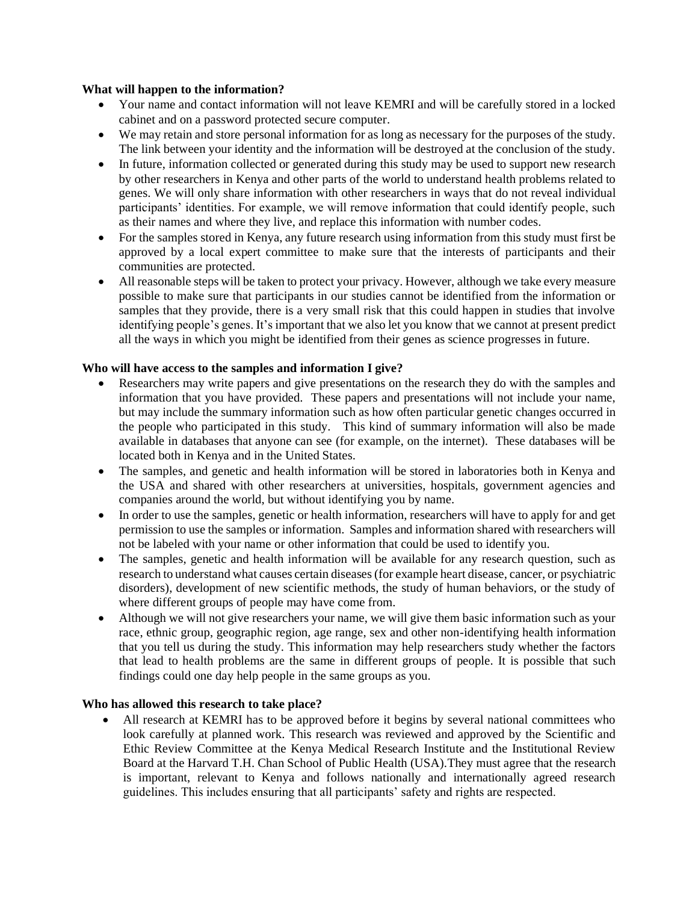#### **What will happen to the information?**

- Your name and contact information will not leave KEMRI and will be carefully stored in a locked cabinet and on a password protected secure computer.
- We may retain and store personal information for as long as necessary for the purposes of the study. The link between your identity and the information will be destroyed at the conclusion of the study.
- In future, information collected or generated during this study may be used to support new research by other researchers in Kenya and other parts of the world to understand health problems related to genes. We will only share information with other researchers in ways that do not reveal individual participants' identities. For example, we will remove information that could identify people, such as their names and where they live, and replace this information with number codes.
- For the samples stored in Kenya, any future research using information from this study must first be approved by a local expert committee to make sure that the interests of participants and their communities are protected.
- All reasonable steps will be taken to protect your privacy. However, although we take every measure possible to make sure that participants in our studies cannot be identified from the information or samples that they provide, there is a very small risk that this could happen in studies that involve identifying people's genes. It's important that we also let you know that we cannot at present predict all the ways in which you might be identified from their genes as science progresses in future.

## **Who will have access to the samples and information I give?**

- Researchers may write papers and give presentations on the research they do with the samples and information that you have provided. These papers and presentations will not include your name, but may include the summary information such as how often particular genetic changes occurred in the people who participated in this study. This kind of summary information will also be made available in databases that anyone can see (for example, on the internet). These databases will be located both in Kenya and in the United States.
- The samples, and genetic and health information will be stored in laboratories both in Kenya and the USA and shared with other researchers at universities, hospitals, government agencies and companies around the world, but without identifying you by name.
- In order to use the samples, genetic or health information, researchers will have to apply for and get permission to use the samples or information. Samples and information shared with researchers will not be labeled with your name or other information that could be used to identify you.
- The samples, genetic and health information will be available for any research question, such as research to understand what causes certain diseases (for example heart disease, cancer, or psychiatric disorders), development of new scientific methods, the study of human behaviors, or the study of where different groups of people may have come from.
- Although we will not give researchers your name, we will give them basic information such as your race, ethnic group, geographic region, age range, sex and other non-identifying health information that you tell us during the study. This information may help researchers study whether the factors that lead to health problems are the same in different groups of people. It is possible that such findings could one day help people in the same groups as you.

## **Who has allowed this research to take place?**

All research at KEMRI has to be approved before it begins by several national committees who look carefully at planned work. This research was reviewed and approved by the Scientific and Ethic Review Committee at the Kenya Medical Research Institute and the Institutional Review Board at the Harvard T.H. Chan School of Public Health (USA).They must agree that the research is important, relevant to Kenya and follows nationally and internationally agreed research guidelines. This includes ensuring that all participants' safety and rights are respected.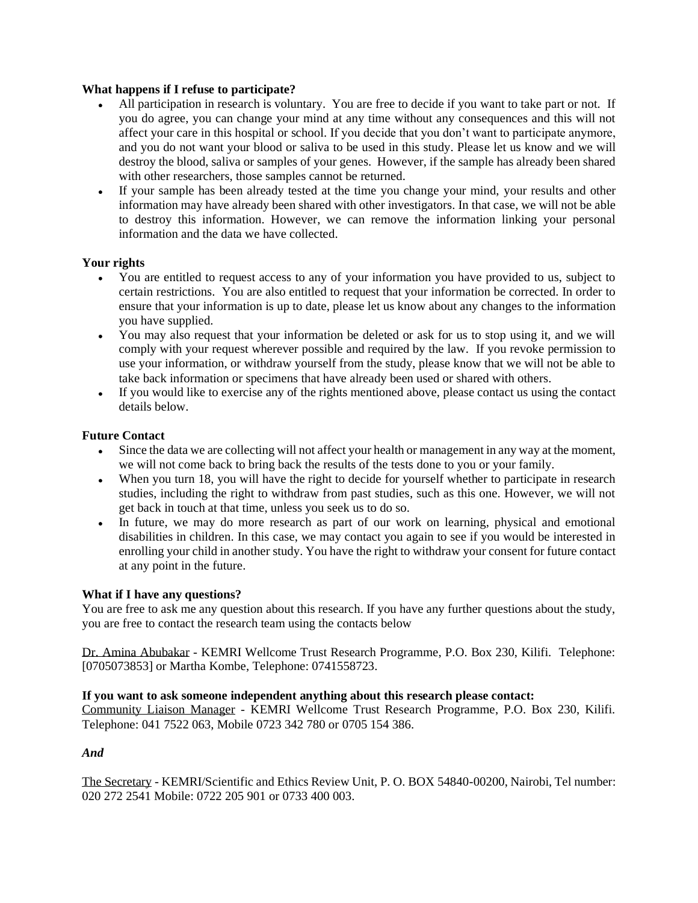## **What happens if I refuse to participate?**

- All participation in research is voluntary. You are free to decide if you want to take part or not. If you do agree, you can change your mind at any time without any consequences and this will not affect your care in this hospital or school. If you decide that you don't want to participate anymore, and you do not want your blood or saliva to be used in this study. Please let us know and we will destroy the blood, saliva or samples of your genes. However, if the sample has already been shared with other researchers, those samples cannot be returned.
- If your sample has been already tested at the time you change your mind, your results and other information may have already been shared with other investigators. In that case, we will not be able to destroy this information. However, we can remove the information linking your personal information and the data we have collected.

# **Your rights**

- You are entitled to request access to any of your information you have provided to us, subject to certain restrictions. You are also entitled to request that your information be corrected. In order to ensure that your information is up to date, please let us know about any changes to the information you have supplied.
- You may also request that your information be deleted or ask for us to stop using it, and we will comply with your request wherever possible and required by the law. If you revoke permission to use your information, or withdraw yourself from the study, please know that we will not be able to take back information or specimens that have already been used or shared with others.
- If you would like to exercise any of the rights mentioned above, please contact us using the contact details below.

## **Future Contact**

- Since the data we are collecting will not affect your health or management in any way at the moment, we will not come back to bring back the results of the tests done to you or your family.
- When you turn 18, you will have the right to decide for yourself whether to participate in research studies, including the right to withdraw from past studies, such as this one. However, we will not get back in touch at that time, unless you seek us to do so.
- In future, we may do more research as part of our work on learning, physical and emotional disabilities in children. In this case, we may contact you again to see if you would be interested in enrolling your child in another study. You have the right to withdraw your consent for future contact at any point in the future.

# **What if I have any questions?**

You are free to ask me any question about this research. If you have any further questions about the study, you are free to contact the research team using the contacts below

Dr. Amina Abubakar - KEMRI Wellcome Trust Research Programme, P.O. Box 230, Kilifi. Telephone: [0705073853] or Martha Kombe, Telephone: 0741558723.

## **If you want to ask someone independent anything about this research please contact:**

Community Liaison Manager - KEMRI Wellcome Trust Research Programme, P.O. Box 230, Kilifi. Telephone: 041 7522 063, Mobile 0723 342 780 or 0705 154 386.

# *And*

The Secretary - KEMRI/Scientific and Ethics Review Unit, P. O. BOX 54840-00200, Nairobi, Tel number: 020 272 2541 Mobile: 0722 205 901 or 0733 400 003.